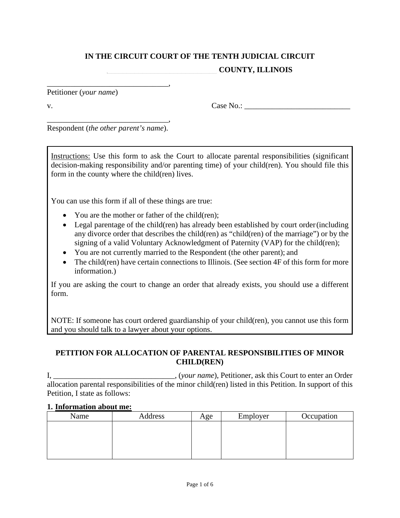# **IN THE CIRCUIT COURT OF THE TENTH JUDICIAL CIRCUIT \_\_\_\_\_\_\_\_\_\_\_\_\_\_\_\_\_\_\_\_\_\_\_\_\_\_\_\_ COUNTY, ILLINOIS**

Petitioner (*your name*)

 $v.$  Case No.:

\_\_\_\_\_\_\_\_\_\_\_\_\_\_\_\_\_\_\_\_\_\_\_\_\_\_\_\_\_\_\_, Respondent (*the other parent's name*).

\_\_\_\_\_\_\_\_\_\_\_\_\_\_\_\_\_\_\_\_\_\_\_\_\_\_\_\_\_\_\_,

Instructions: Use this form to ask the Court to allocate parental responsibilities (significant decision-making responsibility and/or parenting time) of your child(ren). You should file this form in the county where the child(ren) lives.

You can use this form if all of these things are true:

- You are the mother or father of the child(ren);
- Legal parentage of the child(ren) has already been established by court order(including any divorce order that describes the child(ren) as "child(ren) of the marriage") or by the signing of a valid Voluntary Acknowledgment of Paternity (VAP) for the child(ren);
- You are not currently married to the Respondent (the other parent); and
- The child(ren) have certain connections to Illinois. (See section 4F of this form for more information.)

If you are asking the court to change an order that already exists, you should use a different form.

NOTE: If someone has court ordered guardianship of your child(ren), you cannot use this form and you should talk to a lawyer about your options.

## **PETITION FOR ALLOCATION OF PARENTAL RESPONSIBILITIES OF MINOR CHILD(REN)**

I, \_\_\_\_\_\_\_\_\_\_\_\_\_\_\_\_\_\_\_\_\_\_\_\_\_\_\_\_\_\_\_, (*your name*), Petitioner, ask this Court to enter an Order allocation parental responsibilities of the minor child(ren) listed in this Petition. In support of this Petition, I state as follows:

#### **1. Information about me:**

| Name | Address | Age | Employer | Occupation |
|------|---------|-----|----------|------------|
|      |         |     |          |            |
|      |         |     |          |            |
|      |         |     |          |            |
|      |         |     |          |            |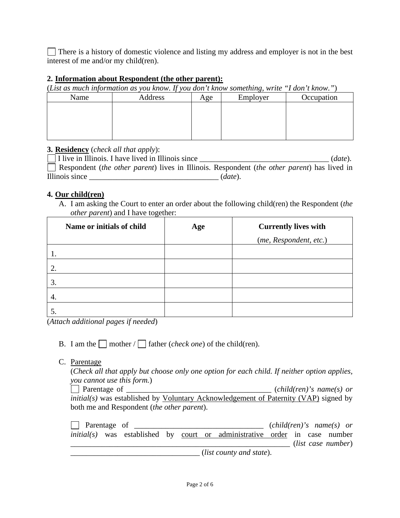There is a history of domestic violence and listing my address and employer is not in the best interest of me and/or my child(ren).

#### **2. Information about Respondent (the other parent):**

(*List as much information as you know. If you don't know something, write "I don't know."*)

| Name | $\cdot$<br>Address | Age | $\cup$<br>Employer | Occupation |
|------|--------------------|-----|--------------------|------------|
|      |                    |     |                    |            |
|      |                    |     |                    |            |
|      |                    |     |                    |            |
|      |                    |     |                    |            |

## **3. Residency** (*check all that apply*):

I live in Illinois. I have lived in Illinois since \_\_\_\_\_\_\_\_\_\_\_\_\_\_\_\_\_\_\_\_\_\_\_\_\_\_\_\_\_\_\_\_\_ (*date*). Respondent (*the other parent*) lives in Illinois. Respondent (*the other parent*) has lived in Illinois since \_\_\_\_\_\_\_\_\_\_\_\_\_\_\_\_\_\_\_\_\_\_\_\_\_\_\_\_\_\_\_\_\_ (*date*).

#### **4. Our child(ren)**

A. I am asking the Court to enter an order about the following child(ren) the Respondent (*the other parent*) and I have together:

| Name or initials of child | Age | <b>Currently lives with</b> |
|---------------------------|-----|-----------------------------|
|                           |     | (me, Respondent, etc.)      |
|                           |     |                             |
| 2.                        |     |                             |
| 3.                        |     |                             |
| $\overline{4}$ .          |     |                             |
|                           |     |                             |

(*Attach additional pages if needed*)

- B. I am the mother  $/\Box$  father (*check one*) of the child(ren).
- C. Parentage

(*Check all that apply but choose only one option for each child. If neither option applies, you cannot use this form.*)

Parentage of  $\Box$  Parentage of  $\Box$ *initial(s)* was established by Voluntary Acknowledgement of Paternity (VAP) signed by both me and Respondent (*the other parent*).

Parentage of \_\_\_\_\_\_\_\_\_\_\_\_\_\_\_\_\_\_\_\_\_\_\_\_\_\_\_\_\_\_\_\_\_ (*child(ren)'s name(s) or initial(s)* was established by court or administrative order in case number \_\_\_\_\_\_\_\_\_\_\_\_\_\_\_\_\_\_\_\_\_\_\_\_\_\_\_\_\_\_\_\_\_\_\_\_\_\_\_\_\_\_\_\_\_\_\_\_\_\_\_\_\_\_\_\_ (*list case number*) \_\_\_\_\_\_\_\_\_\_\_\_\_\_\_\_\_\_\_\_\_\_\_\_\_\_\_\_\_\_\_\_\_ (*list county and state*).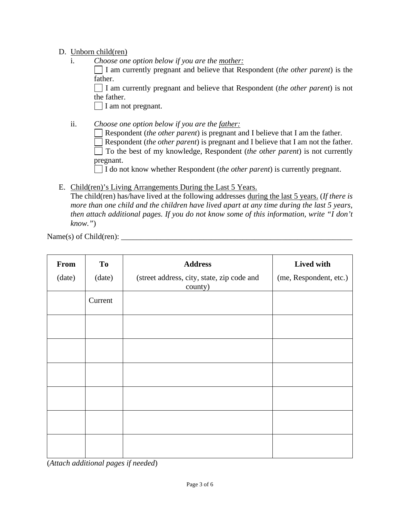## D. Unborn child(ren)

i. *Choose one option below if you are the mother:*

I am currently pregnant and believe that Respondent (*the other parent*) is the father.

I am currently pregnant and believe that Respondent (*the other parent*) is not the father.

 $\Box$  I am not pregnant.

- ii. *Choose one option below if you are the father:* Respondent (*the other parent*) is pregnant and I believe that I am the father. Respondent (*the other parent*) is pregnant and I believe that I am not the father. To the best of my knowledge, Respondent (*the other parent*) is not currently pregnant. I do not know whether Respondent (*the other parent*) is currently pregnant.
- E. Child(ren)'s Living Arrangements During the Last 5 Years.

The child(ren) has/have lived at the following addresses during the last 5 years. (*If there is more than one child and the children have lived apart at any time during the last 5 years, then attach additional pages. If you do not know some of this information, write "I don't know."*)

Name(s) of Child(ren): \_\_\_\_\_\_\_\_\_\_\_\_\_\_\_\_\_\_\_\_\_\_\_\_\_\_\_\_\_\_\_\_\_\_\_\_\_\_\_\_\_\_\_\_\_\_\_\_\_\_\_\_\_\_\_\_\_\_\_

| From   | T <sub>o</sub> | <b>Address</b>                                        | Lived with             |
|--------|----------------|-------------------------------------------------------|------------------------|
| (date) | (date)         | (street address, city, state, zip code and<br>county) | (me, Respondent, etc.) |
|        | Current        |                                                       |                        |
|        |                |                                                       |                        |
|        |                |                                                       |                        |
|        |                |                                                       |                        |
|        |                |                                                       |                        |
|        |                |                                                       |                        |
|        |                |                                                       |                        |

(*Attach additional pages if needed*)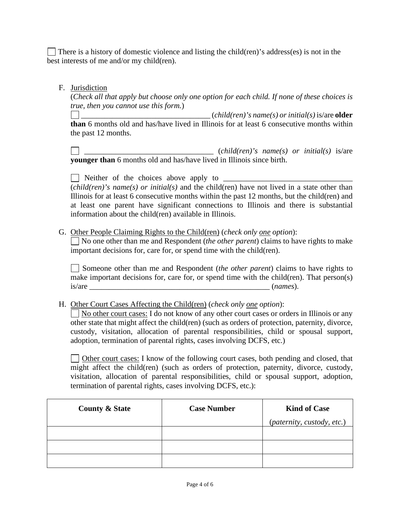There is a history of domestic violence and listing the child(ren)'s address(es) is not in the best interests of me and/or my child(ren).

## F. Jurisdiction

(*Check all that apply but choose only one option for each child. If none of these choices is true, then you cannot use this form.*)

\_\_\_\_\_\_\_\_\_\_\_\_\_\_\_\_\_\_\_\_\_\_\_\_\_\_\_\_\_\_\_\_\_ (*child(ren)'s name(s) or initial(s)* is/are **older than** 6 months old and has/have lived in Illinois for at least 6 consecutive months within the past 12 months.

\_\_\_\_\_\_\_\_\_\_\_\_\_\_\_\_\_\_\_\_\_\_\_\_\_\_\_\_\_\_\_\_\_ (*child(ren)'s name(s) or initial(s)* is/are **younger than** 6 months old and has/have lived in Illinois since birth.

 $\Box$  Neither of the choices above apply to  $\Box$ (*child(ren)'s name(s) or initial(s)* and the child(ren) have not lived in a state other than Illinois for at least 6 consecutive months within the past 12 months, but the child(ren) and at least one parent have significant connections to Illinois and there is substantial information about the child(ren) available in Illinois.

## G. Other People Claiming Rights to the Child(ren) (*check only one option*):

No one other than me and Respondent (*the other parent*) claims to have rights to make important decisions for, care for, or spend time with the child(ren).

Someone other than me and Respondent (*the other parent*) claims to have rights to make important decisions for, care for, or spend time with the child(ren). That person(s) is/are \_\_\_\_\_\_\_\_\_\_\_\_\_\_\_\_\_\_\_\_\_\_\_\_\_\_\_\_\_\_\_\_\_\_\_\_\_\_\_\_\_\_\_\_\_\_ (*names*).

## H. Other Court Cases Affecting the Child(ren) (*check only one option*):

No other court cases: I do not know of any other court cases or orders in Illinois or any other state that might affect the child(ren) (such as orders of protection, paternity, divorce, custody, visitation, allocation of parental responsibilities, child or spousal support, adoption, termination of parental rights, cases involving DCFS, etc.)

Other court cases: I know of the following court cases, both pending and closed, that might affect the child(ren) (such as orders of protection, paternity, divorce, custody, visitation, allocation of parental responsibilities, child or spousal support, adoption, termination of parental rights, cases involving DCFS, etc.):

| <b>County &amp; State</b> | <b>Case Number</b> | <b>Kind of Case</b>        |
|---------------------------|--------------------|----------------------------|
|                           |                    | (paternity, custody, etc.) |
|                           |                    |                            |
|                           |                    |                            |
|                           |                    |                            |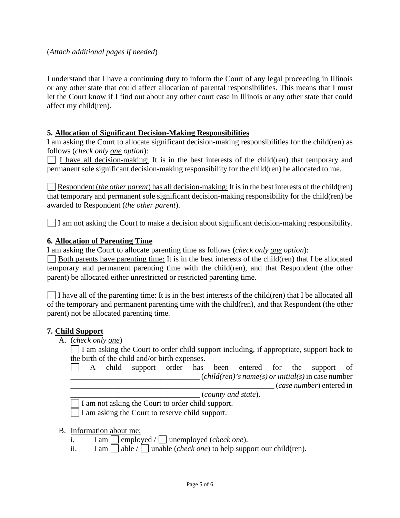(*Attach additional pages if needed*)

I understand that I have a continuing duty to inform the Court of any legal proceeding in Illinois or any other state that could affect allocation of parental responsibilities. This means that I must let the Court know if I find out about any other court case in Illinois or any other state that could affect my child(ren).

#### **5. Allocation of Significant Decision-Making Responsibilities**

I am asking the Court to allocate significant decision-making responsibilities for the child(ren) as follows (*check only one option*):

I have all decision-making: It is in the best interests of the child(ren) that temporary and permanent sole significant decision-making responsibility for the child(ren) be allocated to me.

Respondent *(the other parent)* has all decision-making: It is in the best interests of the child(ren) that temporary and permanent sole significant decision-making responsibility for the child(ren) be awarded to Respondent (*the other parent*).

I am not asking the Court to make a decision about significant decision-making responsibility.

#### **6. Allocation of Parenting Time**

I am asking the Court to allocate parenting time as follows (*check only one option*):

 $\Box$  Both parents have parenting time: It is in the best interests of the child(ren) that I be allocated temporary and permanent parenting time with the child(ren), and that Respondent (the other parent) be allocated either unrestricted or restricted parenting time.

I have all of the parenting time: It is in the best interests of the child(ren) that I be allocated all of the temporary and permanent parenting time with the child(ren), and that Respondent (the other parent) not be allocated parenting time.

#### **7. Child Support**

A. (*check only one*)

 $\Box$  I am asking the Court to order child support including, if appropriate, support back to the birth of the child and/or birth expenses.

 $\Box$ A child support order has been entered for the support of  $\left($ *child(ren)'s name(s) or initial(s)* in case number \_\_\_\_\_\_\_\_\_\_\_\_\_\_\_\_\_\_\_\_\_\_\_\_\_\_\_\_\_\_\_\_\_\_\_\_\_\_\_\_\_\_\_\_\_\_\_\_\_\_\_\_ (*case number*) entered in \_\_\_\_\_\_\_\_\_\_\_\_\_\_\_\_\_\_\_\_\_\_\_\_\_\_\_\_\_\_\_\_\_ (*county and state*).

I am not asking the Court to order child support.

I am asking the Court to reserve child support.

#### B. Information about me:

- i. I am  $\Box$  employed /  $\Box$  unemployed (*check one*).
- ii. I am  $\Box$  able  $\Box$  unable (*check one*) to help support our child(ren).